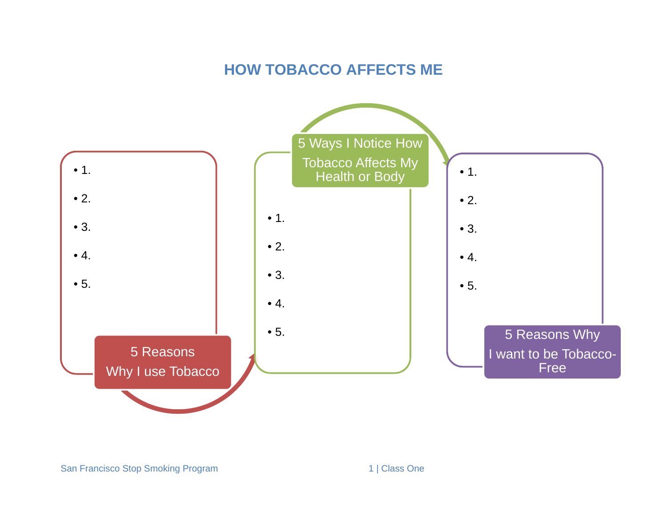### **HOW TOBACCO AFFECTS ME**

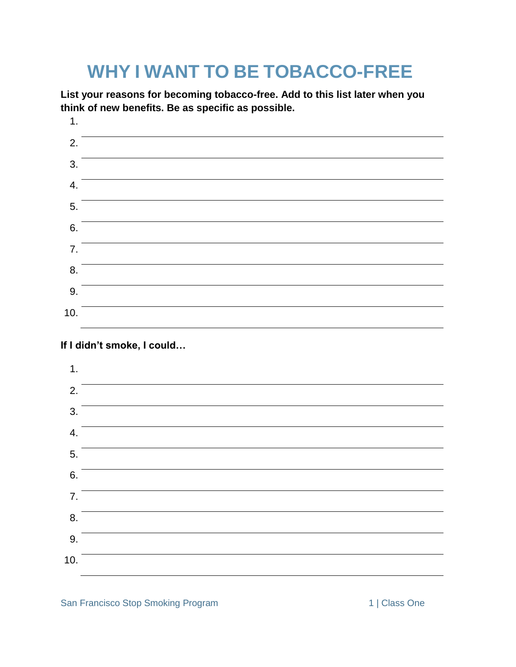## **WHY I WANT TO BE TOBACCO-FREE**

**List your reasons for becoming tobacco-free. Add to this list later when you think of new benefits. Be as specific as possible.**

1. 2. 3. 4. 5. 6. 7. 8. 9. 10.

### **If I didn't smoke, I could…**

| 1.  |  |
|-----|--|
| 2.  |  |
| 3.  |  |
| 4.  |  |
| 5.  |  |
| 6.  |  |
| 7.  |  |
| 8.  |  |
| 9.  |  |
| 10. |  |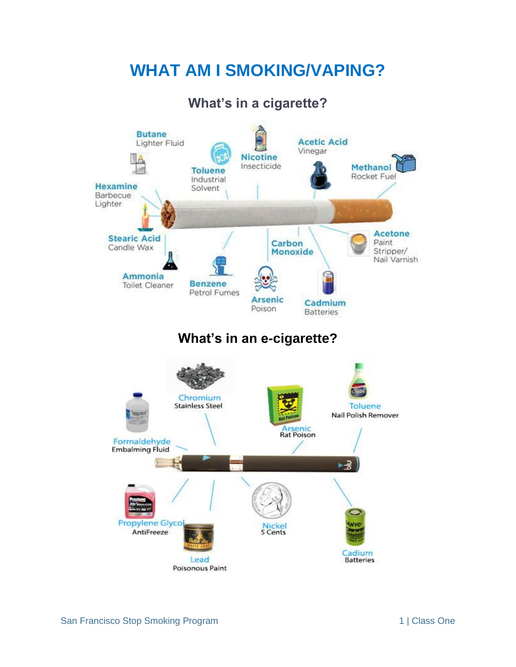## **WHAT AM I SMOKING/VAPING?**

### **What's in a cigarette?**

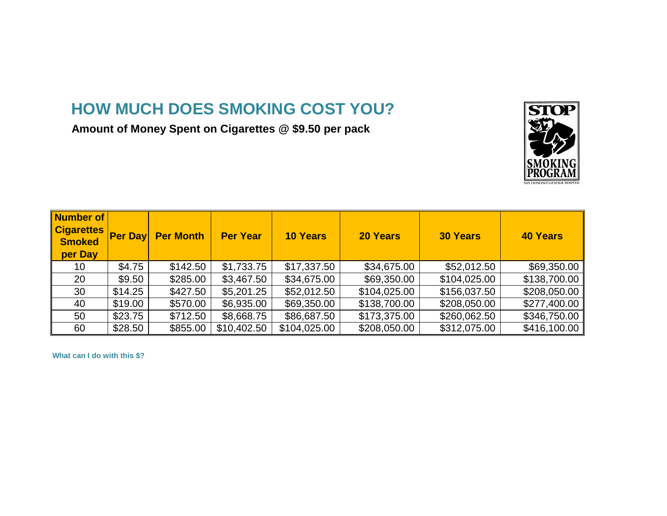# **HOW MUCH DOES SMOKING COST YOU?**

Amount of Money Spent on Cigarettes @ \$9.50 per pack



| Number of<br><b>Cigarettes</b><br><b>Smoked</b><br>per Day | <b>Per Day</b> | <b>Per Month</b> | <b>Per Year</b> | <b>10 Years</b> | <b>20 Years</b> | <b>30 Years</b> | <b>40 Years</b> |
|------------------------------------------------------------|----------------|------------------|-----------------|-----------------|-----------------|-----------------|-----------------|
| 10                                                         | \$4.75         | \$142.50         | \$1,733.75      | \$17,337.50     | \$34,675.00     | \$52,012.50     | \$69,350.00     |
| 20                                                         | \$9.50         | \$285.00         | \$3,467.50      | \$34,675.00     | \$69,350.00     | \$104,025.00    | \$138,700.00    |
| 30                                                         | \$14.25        | \$427.50         | \$5,201.25      | \$52,012.50     | \$104,025.00    | \$156,037.50    | \$208,050.00    |
| 40                                                         | \$19.00        | \$570.00         | \$6,935.00      | \$69,350.00     | \$138,700.00    | \$208,050.00    | \$277,400.00    |
| 50                                                         | \$23.75        | \$712.50         | \$8,668.75      | \$86,687.50     | \$173,375.00    | \$260,062.50    | \$346,750.00    |
| 60                                                         | \$28.50        | \$855.00         | \$10,402.50     | \$104,025.00    | \$208,050.00    | \$312,075.00    | \$416,100.00    |

**What can I do with this \$?**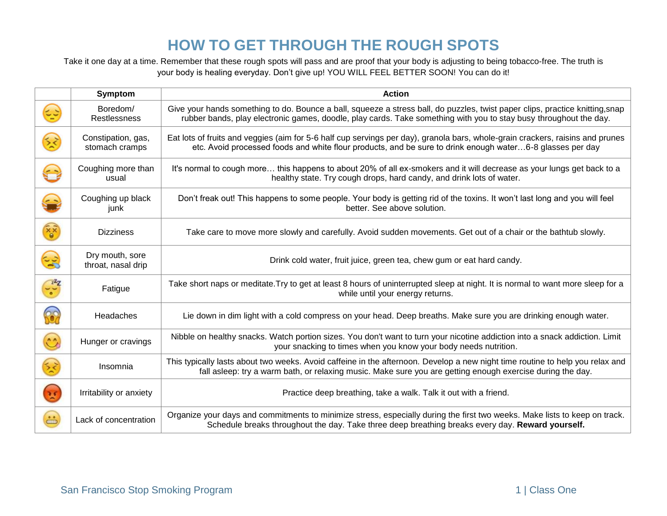### **HOW TO GET THROUGH THE ROUGH SPOTS**

Take it one day at a time. Remember that these rough spots will pass and are proof that your body is adjusting to being tobacco-free. The truth is your body is healing everyday. Don't give up! YOU WILL FEEL BETTER SOON! You can do it!

|                                            | <b>Symptom</b>                        | <b>Action</b>                                                                                                                                                                                                                                      |
|--------------------------------------------|---------------------------------------|----------------------------------------------------------------------------------------------------------------------------------------------------------------------------------------------------------------------------------------------------|
|                                            | Boredom/<br><b>Restlessness</b>       | Give your hands something to do. Bounce a ball, squeeze a stress ball, do puzzles, twist paper clips, practice knitting, snap<br>rubber bands, play electronic games, doodle, play cards. Take something with you to stay busy throughout the day. |
| 铰                                          | Constipation, gas,<br>stomach cramps  | Eat lots of fruits and veggies (aim for 5-6 half cup servings per day), granola bars, whole-grain crackers, raisins and prunes<br>etc. Avoid processed foods and white flour products, and be sure to drink enough water6-8 glasses per day        |
|                                            | Coughing more than<br>usual           | It's normal to cough more this happens to about 20% of all ex-smokers and it will decrease as your lungs get back to a<br>healthy state. Try cough drops, hard candy, and drink lots of water.                                                     |
|                                            | Coughing up black<br>junk             | Don't freak out! This happens to some people. Your body is getting rid of the toxins. It won't last long and you will feel<br>better. See above solution.                                                                                          |
| $\mathbf{e}_{\mathbf{x}_0}^{\mathbf{x}_1}$ | <b>Dizziness</b>                      | Take care to move more slowly and carefully. Avoid sudden movements. Get out of a chair or the bathtub slowly.                                                                                                                                     |
| દર્                                        | Dry mouth, sore<br>throat, nasal drip | Drink cold water, fruit juice, green tea, chew gum or eat hard candy.                                                                                                                                                                              |
| $\frac{z^2z}{z^2}$                         | Fatigue                               | Take short naps or meditate. Try to get at least 8 hours of uninterrupted sleep at night. It is normal to want more sleep for a<br>while until your energy returns.                                                                                |
| 88                                         | Headaches                             | Lie down in dim light with a cold compress on your head. Deep breaths. Make sure you are drinking enough water.                                                                                                                                    |
| $\mathbb{C}$                               | Hunger or cravings                    | Nibble on healthy snacks. Watch portion sizes. You don't want to turn your nicotine addiction into a snack addiction. Limit<br>your snacking to times when you know your body needs nutrition.                                                     |
| $\frac{1}{2}$                              | Insomnia                              | This typically lasts about two weeks. Avoid caffeine in the afternoon. Develop a new night time routine to help you relax and<br>fall asleep: try a warm bath, or relaxing music. Make sure you are getting enough exercise during the day.        |
| $\mathbf{R}$                               | Irritability or anxiety               | Practice deep breathing, take a walk. Talk it out with a friend.                                                                                                                                                                                   |
| $\stackrel{\cdot}{\oplus}$                 | Lack of concentration                 | Organize your days and commitments to minimize stress, especially during the first two weeks. Make lists to keep on track.<br>Schedule breaks throughout the day. Take three deep breathing breaks every day. Reward yourself.                     |